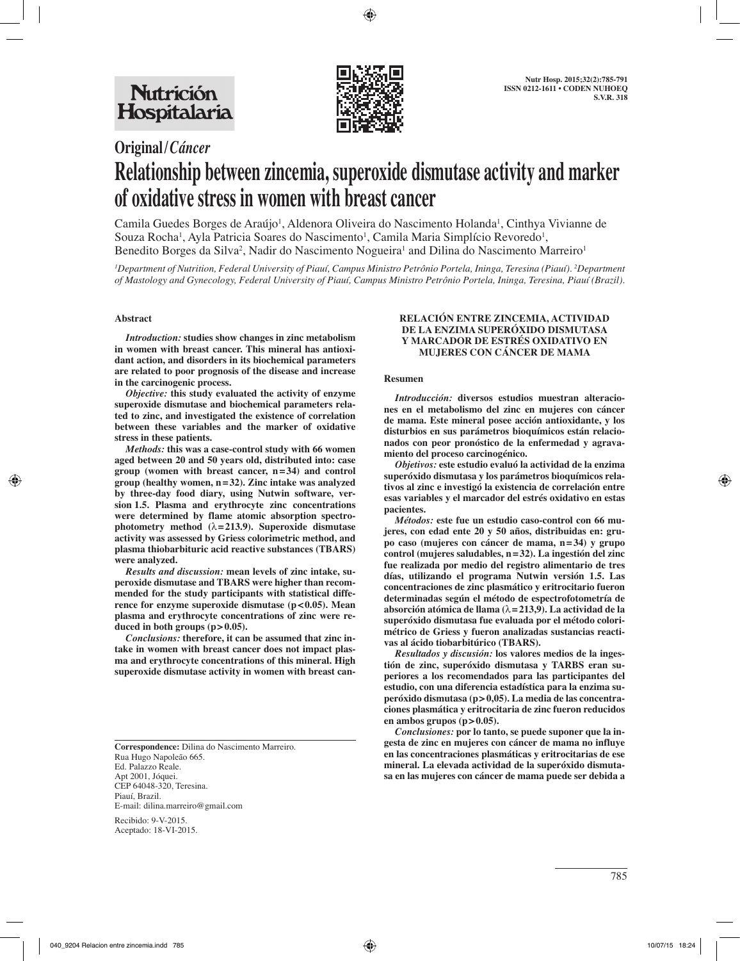

# **Original/***Cáncer* **Relationship between zincemia, superoxide dismutase activity and marker of oxidative stress in women with breast cancer**

Camila Guedes Borges de Araújo<sup>1</sup>, Aldenora Oliveira do Nascimento Holanda<sup>1</sup>, Cinthya Vivianne de Souza Rocha<sup>1</sup>, Ayla Patricia Soares do Nascimento<sup>1</sup>, Camila Maria Simplício Revoredo<sup>1</sup>, Benedito Borges da Silva<sup>2</sup>, Nadir do Nascimento Nogueira<sup>1</sup> and Dilina do Nascimento Marreiro<sup>1</sup>

*1 Department of Nutrition, Federal University of Piauí, Campus Ministro Petrônio Portela, Ininga, Teresina (Piauí). 2 Department of Mastology and Gynecology, Federal University of Piauí, Campus Ministro Petrônio Portela, Ininga, Teresina, Piauí (Brazil).* 

### **Abstract**

*Introduction:* **studies show changes in zinc metabolism in women with breast cancer. This mineral has antioxidant action, and disorders in its biochemical parameters are related to poor prognosis of the disease and increase in the carcinogenic process.** 

*Objective:* **this study evaluated the activity of enzyme superoxide dismutase and biochemical parameters related to zinc, and investigated the existence of correlation between these variables and the marker of oxidative stress in these patients.** 

*Methods:* **this was a case-control study with 66 women aged between 20 and 50 years old, distributed into: case group (women with breast cancer, n=34) and control group (healthy women, n=32). Zinc intake was analyzed by three-day food diary, using Nutwin software, version 1.5. Plasma and erythrocyte zinc concentrations were determined by flame atomic absorption spectrophotometry method (**λ**=213.9). Superoxide dismutase activity was assessed by Griess colorimetric method, and plasma thiobarbituric acid reactive substances (TBARS) were analyzed.** 

*Results and discussion:* **mean levels of zinc intake, superoxide dismutase and TBARS were higher than recommended for the study participants with statistical difference for enzyme superoxide dismutase (p<0.05). Mean plasma and erythrocyte concentrations of zinc were reduced in both groups (p>0.05).** 

*Conclusions:* **therefore, it can be assumed that zinc intake in women with breast cancer does not impact plasma and erythrocyte concentrations of this mineral. High superoxide dismutase activity in women with breast can-**

**Correspondence:** Dilina do Nascimento Marreiro. Rua Hugo Napoleão 665. Ed. Palazzo Reale. Apt 2001, Jóquei. CEP 64048-320, Teresina. Piauí, Brazil. E-mail: dilina.marreiro@gmail.com

Recibido: 9-V-2015. Aceptado: 18-VI-2015.

#### **RELACIÓN ENTRE ZINCEMIA, ACTIVIDAD DE LA ENZIMA SUPERÓXIDO DISMUTASA Y MARCADOR DE ESTRÉS OXIDATIVO EN MUJERES CON CÁNCER DE MAMA**

#### **Resumen**

*Introducción:* **diversos estudios muestran alteraciones en el metabolismo del zinc en mujeres con cáncer de mama. Este mineral posee acción antioxidante, y los disturbios en sus parámetros bioquímicos están relacionados con peor pronóstico de la enfermedad y agravamiento del proceso carcinogénico.**

*Objetivos:* **este estudio evaluó la actividad de la enzima superóxido dismutasa y los parámetros bioquímicos relativos al zinc e investigó la existencia de correlación entre esas variables y el marcador del estrés oxidativo en estas pacientes.**

*Métodos:* **este fue un estudio caso-control con 66 mujeres, con edad ente 20 y 50 años, distribuidas en: grupo caso (mujeres con cáncer de mama, n=34) y grupo control (mujeres saludables, n=32). La ingestión del zinc fue realizada por medio del registro alimentario de tres días, utilizando el programa Nutwin versión 1.5. Las concentraciones de zinc plasmático y eritrocitario fueron determinadas según el método de espectrofotometría de absorción atómica de llama (**λ**=213,9). La actividad de la superóxido dismutasa fue evaluada por el método colorimétrico de Griess y fueron analizadas sustancias reactivas al ácido tiobarbitúrico (TBARS).**

*Resultados y discusión:* **los valores medios de la ingestión de zinc, superóxido dismutasa y TARBS eran superiores a los recomendados para las participantes del estudio, con una diferencia estadística para la enzima superóxido dismutasa (p>0,05). La media de las concentraciones plasmática y eritrocitaria de zinc fueron reducidos en ambos grupos (p>0.05).**

*Conclusiones:* **por lo tanto, se puede suponer que la ingesta de zinc en mujeres con cáncer de mama no influye en las concentraciones plasmáticas y eritrocitarias de ese mineral. La elevada actividad de la superóxido dismutasa en las mujeres con cáncer de mama puede ser debida a**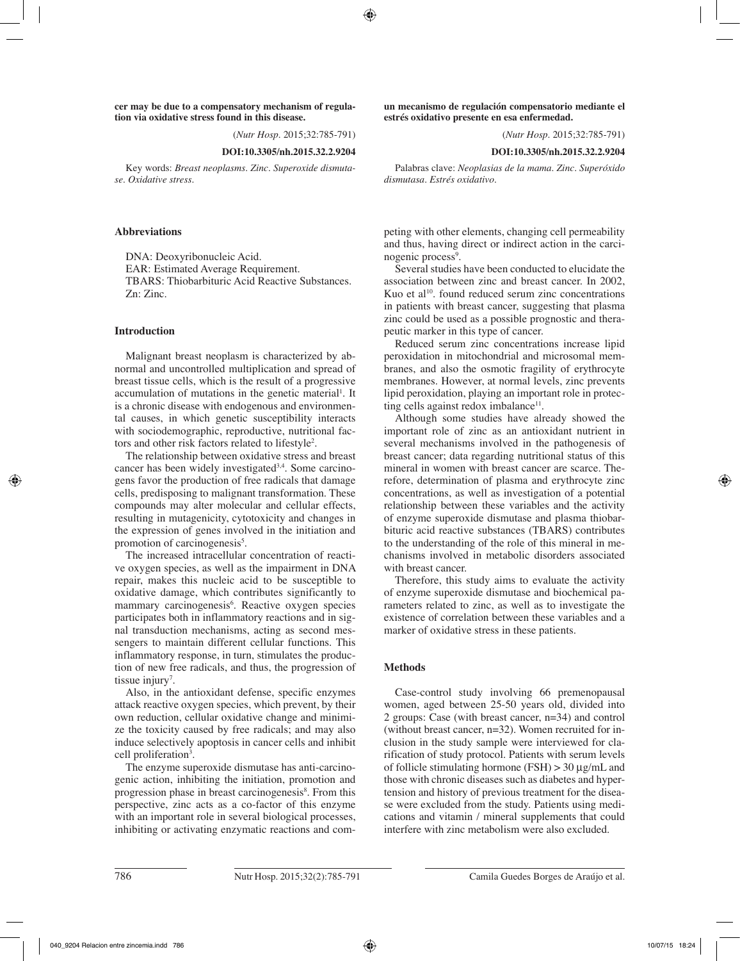**cer may be due to a compensatory mechanism of regulation via oxidative stress found in this disease.** 

(*Nutr Hosp.* 2015;32:785-791)

## **DOI:10.3305/nh.2015.32.2.9204**

Key words: *Breast neoplasms. Zinc. Superoxide dismutase. Oxidative stress.*

### **Abbreviations**

DNA: Deoxyribonucleic Acid. EAR: Estimated Average Requirement. TBARS: Thiobarbituric Acid Reactive Substances. Zn: Zinc.

### **Introduction**

Malignant breast neoplasm is characterized by abnormal and uncontrolled multiplication and spread of breast tissue cells, which is the result of a progressive accumulation of mutations in the genetic material<sup>1</sup>. It is a chronic disease with endogenous and environmental causes, in which genetic susceptibility interacts with sociodemographic, reproductive, nutritional factors and other risk factors related to lifestyle<sup>2</sup>.

The relationship between oxidative stress and breast cancer has been widely investigated<sup>3,4</sup>. Some carcinogens favor the production of free radicals that damage cells, predisposing to malignant transformation. These compounds may alter molecular and cellular effects, resulting in mutagenicity, cytotoxicity and changes in the expression of genes involved in the initiation and promotion of carcinogenesis<sup>5</sup>.

The increased intracellular concentration of reactive oxygen species, as well as the impairment in DNA repair, makes this nucleic acid to be susceptible to oxidative damage, which contributes significantly to mammary carcinogenesis<sup>6</sup>. Reactive oxygen species participates both in inflammatory reactions and in signal transduction mechanisms, acting as second messengers to maintain different cellular functions. This inflammatory response, in turn, stimulates the production of new free radicals, and thus, the progression of tissue injury<sup>7</sup>.

Also, in the antioxidant defense, specific enzymes attack reactive oxygen species, which prevent, by their own reduction, cellular oxidative change and minimize the toxicity caused by free radicals; and may also induce selectively apoptosis in cancer cells and inhibit cell proliferation<sup>3</sup>.

The enzyme superoxide dismutase has anti-carcinogenic action, inhibiting the initiation, promotion and progression phase in breast carcinogenesis<sup>8</sup>. From this perspective, zinc acts as a co-factor of this enzyme with an important role in several biological processes, inhibiting or activating enzymatic reactions and com**un mecanismo de regulación compensatorio mediante el estrés oxidativo presente en esa enfermedad.**

(*Nutr Hosp.* 2015;32:785-791)

#### **DOI:10.3305/nh.2015.32.2.9204**

Palabras clave: *Neoplasias de la mama. Zinc. Superóxido dismutasa. Estrés oxidativo.*

peting with other elements, changing cell permeability and thus, having direct or indirect action in the carcinogenic process<sup>9</sup>.

Several studies have been conducted to elucidate the association between zinc and breast cancer. In 2002, Kuo et al $10$ . found reduced serum zinc concentrations in patients with breast cancer, suggesting that plasma zinc could be used as a possible prognostic and therapeutic marker in this type of cancer.

Reduced serum zinc concentrations increase lipid peroxidation in mitochondrial and microsomal membranes, and also the osmotic fragility of erythrocyte membranes. However, at normal levels, zinc prevents lipid peroxidation, playing an important role in protecting cells against redox imbalance $11$ .

Although some studies have already showed the important role of zinc as an antioxidant nutrient in several mechanisms involved in the pathogenesis of breast cancer; data regarding nutritional status of this mineral in women with breast cancer are scarce. Therefore, determination of plasma and erythrocyte zinc concentrations, as well as investigation of a potential relationship between these variables and the activity of enzyme superoxide dismutase and plasma thiobarbituric acid reactive substances (TBARS) contributes to the understanding of the role of this mineral in mechanisms involved in metabolic disorders associated with breast cancer.

Therefore, this study aims to evaluate the activity of enzyme superoxide dismutase and biochemical parameters related to zinc, as well as to investigate the existence of correlation between these variables and a marker of oxidative stress in these patients.

### **Methods**

Case-control study involving 66 premenopausal women, aged between 25-50 years old, divided into 2 groups: Case (with breast cancer, n=34) and control (without breast cancer, n=32). Women recruited for inclusion in the study sample were interviewed for clarification of study protocol. Patients with serum levels of follicle stimulating hormone (FSH)  $>$  30  $\mu$ g/mL and those with chronic diseases such as diabetes and hypertension and history of previous treatment for the disease were excluded from the study. Patients using medications and vitamin / mineral supplements that could interfere with zinc metabolism were also excluded.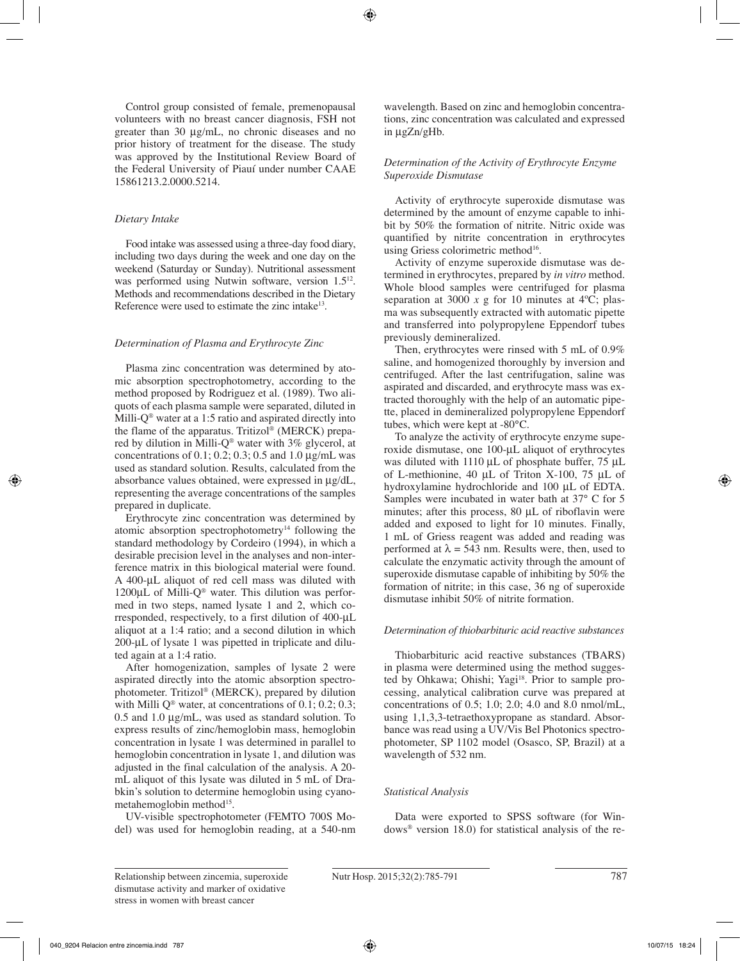Control group consisted of female, premenopausal volunteers with no breast cancer diagnosis, FSH not greater than 30 μg/mL, no chronic diseases and no prior history of treatment for the disease. The study was approved by the Institutional Review Board of the Federal University of Piauí under number CAAE 15861213.2.0000.5214.

## *Dietary Intake*

Food intake was assessed using a three-day food diary, including two days during the week and one day on the weekend (Saturday or Sunday). Nutritional assessment was performed using Nutwin software, version 1.5<sup>12</sup>. Methods and recommendations described in the Dietary Reference were used to estimate the zinc intake<sup>13</sup>.

# *Determination of Plasma and Erythrocyte Zinc*

Plasma zinc concentration was determined by atomic absorption spectrophotometry, according to the method proposed by Rodriguez et al. (1989). Two aliquots of each plasma sample were separated, diluted in Milli- $Q^{\circledast}$  water at a 1:5 ratio and aspirated directly into the flame of the apparatus. Tritizol® (MERCK) prepared by dilution in Milli-Q® water with 3% glycerol, at concentrations of  $0.1$ ;  $0.2$ ;  $0.3$ ;  $0.5$  and  $1.0$   $\mu$ g/mL was used as standard solution. Results, calculated from the absorbance values obtained, were expressed in μg/dL, representing the average concentrations of the samples prepared in duplicate.

Erythrocyte zinc concentration was determined by atomic absorption spectrophotometry<sup>14</sup> following the standard methodology by Cordeiro (1994), in which a desirable precision level in the analyses and non-interference matrix in this biological material were found. A 400-μL aliquot of red cell mass was diluted with 1200μL of Milli-Q® water. This dilution was performed in two steps, named lysate 1 and 2, which corresponded, respectively, to a first dilution of 400-μL aliquot at a 1:4 ratio; and a second dilution in which 200-μL of lysate 1 was pipetted in triplicate and diluted again at a 1:4 ratio.

After homogenization, samples of lysate 2 were aspirated directly into the atomic absorption spectrophotometer. Tritizol® (MERCK), prepared by dilution with Milli  $O^{\circledast}$  water, at concentrations of 0.1; 0.2; 0.3; 0.5 and 1.0 μg/mL, was used as standard solution. To express results of zinc/hemoglobin mass, hemoglobin concentration in lysate 1 was determined in parallel to hemoglobin concentration in lysate 1, and dilution was adjusted in the final calculation of the analysis. A 20 mL aliquot of this lysate was diluted in 5 mL of Drabkin's solution to determine hemoglobin using cyanometahemoglobin method<sup>15</sup>.

UV-visible spectrophotometer (FEMTO 700S Model) was used for hemoglobin reading, at a 540-nm wavelength. Based on zinc and hemoglobin concentrations, zinc concentration was calculated and expressed in μgZn/gHb.

# *Determination of the Activity of Erythrocyte Enzyme Superoxide Dismutase*

Activity of erythrocyte superoxide dismutase was determined by the amount of enzyme capable to inhibit by 50% the formation of nitrite. Nitric oxide was quantified by nitrite concentration in erythrocytes using Griess colorimetric method<sup>16</sup>.

Activity of enzyme superoxide dismutase was determined in erythrocytes, prepared by *in vitro* method. Whole blood samples were centrifuged for plasma separation at 3000  $\bar{x}$  g for 10 minutes at 4<sup>o</sup>C; plasma was subsequently extracted with automatic pipette and transferred into polypropylene Eppendorf tubes previously demineralized.

Then, erythrocytes were rinsed with 5 mL of 0.9% saline, and homogenized thoroughly by inversion and centrifuged. After the last centrifugation, saline was aspirated and discarded, and erythrocyte mass was extracted thoroughly with the help of an automatic pipette, placed in demineralized polypropylene Eppendorf tubes, which were kept at -80°C.

To analyze the activity of erythrocyte enzyme superoxide dismutase, one 100-μL aliquot of erythrocytes was diluted with 1110 μL of phosphate buffer, 75 μL of L-methionine, 40 μL of Triton X-100, 75 μL of hydroxylamine hydrochloride and 100 μL of EDTA. Samples were incubated in water bath at 37° C for 5 minutes; after this process, 80 μL of riboflavin were added and exposed to light for 10 minutes. Finally, 1 mL of Griess reagent was added and reading was performed at  $\lambda = 543$  nm. Results were, then, used to calculate the enzymatic activity through the amount of superoxide dismutase capable of inhibiting by 50% the formation of nitrite; in this case, 36 ng of superoxide dismutase inhibit 50% of nitrite formation.

## *Determination of thiobarbituric acid reactive substances*

Thiobarbituric acid reactive substances (TBARS) in plasma were determined using the method suggested by Ohkawa; Ohishi; Yagi<sup>18</sup>. Prior to sample processing, analytical calibration curve was prepared at concentrations of 0.5; 1.0; 2.0; 4.0 and 8.0 nmol/mL, using 1,1,3,3-tetraethoxypropane as standard. Absorbance was read using a UV/Vis Bel Photonics spectrophotometer, SP 1102 model (Osasco, SP, Brazil) at a wavelength of 532 nm.

# *Statistical Analysis*

Data were exported to SPSS software (for Windows® version 18.0) for statistical analysis of the re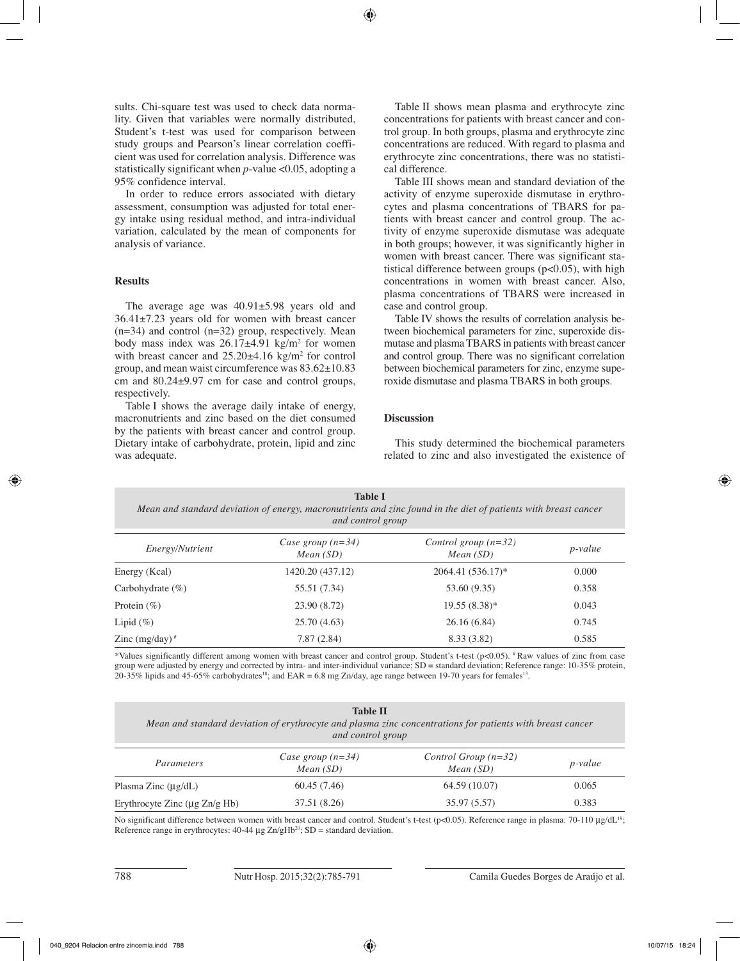sults. Chi-square test was used to check data normality. Given that variables were normally distributed, Student's t-test was used for comparison between study groups and Pearson's linear correlation coefficient was used for correlation analysis. Difference was statistically significant when *p*-value <0.05, adopting a 95% confidence interval.

In order to reduce errors associated with dietary assessment, consumption was adjusted for total energy intake using residual method, and intra-individual variation, calculated by the mean of components for analysis of variance.

# **Results**

The average age was 40.91±5.98 years old and 36.41±7.23 years old for women with breast cancer  $(n=34)$  and control  $(n=32)$  group, respectively. Mean body mass index was  $26.17\pm4.91$  kg/m<sup>2</sup> for women with breast cancer and  $25.20\pm4.16$  kg/m<sup>2</sup> for control group, and mean waist circumference was 83.62±10.83 cm and 80.24±9.97 cm for case and control groups, respectively.

Table I shows the average daily intake of energy, macronutrients and zinc based on the diet consumed by the patients with breast cancer and control group. Dietary intake of carbohydrate, protein, lipid and zinc was adequate.

Table II shows mean plasma and erythrocyte zinc concentrations for patients with breast cancer and control group. In both groups, plasma and erythrocyte zinc concentrations are reduced. With regard to plasma and erythrocyte zinc concentrations, there was no statistical difference.

Table III shows mean and standard deviation of the activity of enzyme superoxide dismutase in erythrocytes and plasma concentrations of TBARS for patients with breast cancer and control group. The activity of enzyme superoxide dismutase was adequate in both groups; however, it was significantly higher in women with breast cancer. There was significant statistical difference between groups ( $p<0.05$ ), with high concentrations in women with breast cancer. Also, plasma concentrations of TBARS were increased in case and control group.

Table IV shows the results of correlation analysis between biochemical parameters for zinc, superoxide dismutase and plasma TBARS in patients with breast cancer and control group. There was no significant correlation between biochemical parameters for zinc, enzyme superoxide dismutase and plasma TBARS in both groups.

# **Discussion**

This study determined the biochemical parameters related to zinc and also investigated the existence of

**Table I** *Mean and standard deviation of energy, macronutrients and zinc found in the diet of patients with breast cancer and control group Control group (n=32)*

| <i>Energy/Nutrient</i> | Case group $(n=34)$<br>Mean(SD) | Control group $(n=32)$<br>Mean(SD) | <i>p</i> -value |  |
|------------------------|---------------------------------|------------------------------------|-----------------|--|
| Energy (Kcal)          | 1420.20 (437.12)                | $2064.41(536.17)^*$                | 0.000           |  |
| Carbohydrate $(\% )$   | 55.51 (7.34)                    | 53.60 (9.35)                       | 0.358           |  |
| Protein $(\%)$         | 23.90 (8.72)                    | $19.55(8.38)$ *                    | 0.043           |  |
| Lipid $(\% )$          | 25.70(4.63)                     | 26.16(6.84)                        | 0.745           |  |
| Zinc $(mg/day)^*$      | 7.87(2.84)                      | 8.33 (3.82)                        | 0.585           |  |

\*Values significantly different among women with breast cancer and control group. Student's t-test ( $p<0.05$ ).  $*$ Raw values of zinc from case group were adjusted by energy and corrected by intra- and inter-individual variance; SD = standard deviation; Reference range: 10-35% protein, 20-35% lipids and 45-65% carbohydrates<sup>18</sup>; and EAR = 6.8 mg Zn/day, age range between 19-70 years for females<sup>13</sup>.

| <b>Table II</b><br>Mean and standard deviation of erythrocyte and plasma zinc concentrations for patients with breast cancer<br>and control group |                                 |                                    |                 |  |  |  |  |
|---------------------------------------------------------------------------------------------------------------------------------------------------|---------------------------------|------------------------------------|-----------------|--|--|--|--|
| Parameters                                                                                                                                        | Case group $(n=34)$<br>Mean(SD) | Control Group $(n=32)$<br>Mean(SD) | <i>p</i> -value |  |  |  |  |
| Plasma Zinc $(\mu g/dL)$                                                                                                                          | 60.45(7.46)                     | 64.59 (10.07)                      | 0.065           |  |  |  |  |
| Erythrocyte Zinc $(\mu$ g Zn/g Hb)                                                                                                                | 37.51 (8.26)                    | 35.97 (5.57)                       | 0.383           |  |  |  |  |

No significant difference between women with breast cancer and control. Student's t-test (p<0.05). Reference range in plasma: 70-110 μg/dL<sup>19</sup>; Reference range in erythrocytes:  $40-44 \mu g Zn/gHb^{20}$ ; SD = standard deviation.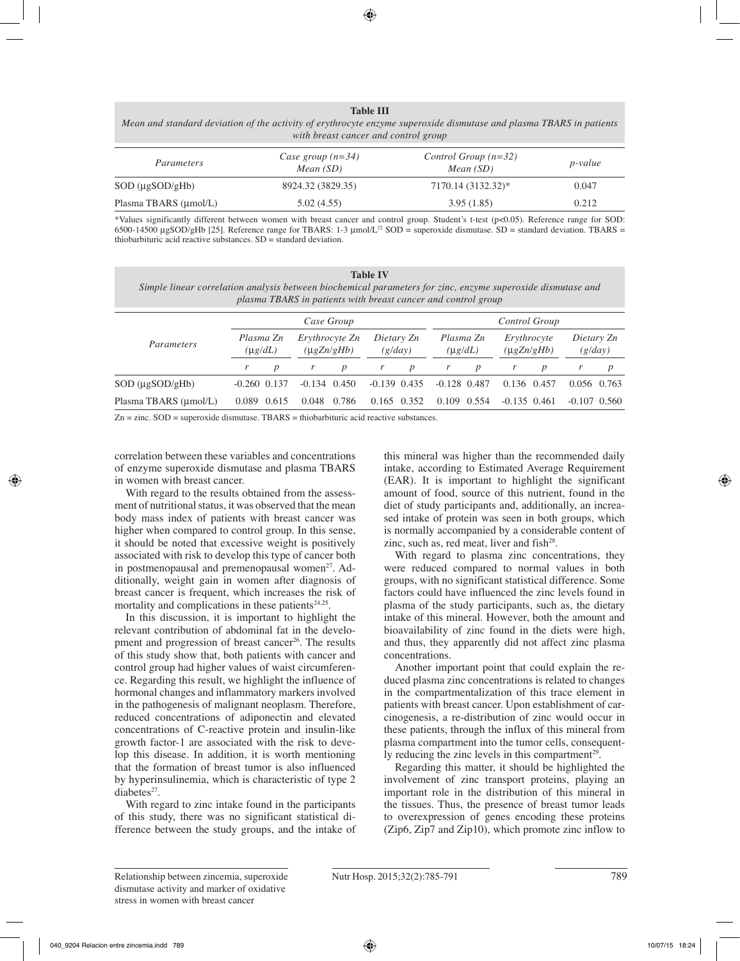#### **Table III**

*Mean and standard deviation of the activity of erythrocyte enzyme superoxide dismutase and plasma TBARS in patients with breast cancer and control group*

| Parameters                  | Case group $(n=34)$<br>Mean $(SD)$ | Control Group $(n=32)$<br>Mean $(SD)$ | <i>p</i> -value |  |  |
|-----------------------------|------------------------------------|---------------------------------------|-----------------|--|--|
| $SOD$ ( $\mu$ g $SOD$ /gHb) | 8924.32 (3829.35)                  | 7170.14 (3132.32)*                    | 0.047           |  |  |
| Plasma TBARS (µmol/L)       | 5.02(4.55)                         | 3.95(1.85)                            | 0.212           |  |  |

\*Values significantly different between women with breast cancer and control group. Student's t-test (p<0.05). Reference range for SOD: 6500-14500 μgSOD/gHb [25]. Reference range for TBARS: 1-3 μmol/L22 SOD = superoxide dismutase. SD = standard deviation. TBARS = thiobarbituric acid reactive substances. SD = standard deviation.

**Table IV** *Simple linear correlation analysis between biochemical parameters for zinc, enzyme superoxide dismutase and plasma TBARS in patients with breast cancer and control group*

|                       |                                                                 | Case Group       |                       |       |                           |   | Control Group                   |                  |                       |             |  |                  |
|-----------------------|-----------------------------------------------------------------|------------------|-----------------------|-------|---------------------------|---|---------------------------------|------------------|-----------------------|-------------|--|------------------|
| Parameters            | Plasma Zn<br>Erythrocyte Zn<br>$(\mu g Zn/gHb)$<br>$(\mu g/dL)$ |                  | Dietary Zn<br>(g/day) |       | Plasma Zn<br>$(\mu g/dL)$ |   | Erythrocyte<br>$(\mu g Zn/gHb)$ |                  | Dietary Zn<br>(g/day) |             |  |                  |
|                       |                                                                 | $\boldsymbol{D}$ |                       | D     | r                         | p |                                 | $\boldsymbol{D}$ |                       |             |  | $\boldsymbol{p}$ |
| $SOD (\mu gSOD/gHb)$  | $-0.260$ $0.137$                                                |                  | $-0.134$ $0.450$      |       | $-0.139$ $0.435$          |   | $-0.128$ 0.487                  |                  |                       | 0.136 0.457 |  | $0.056$ 0.763    |
| Plasma TBARS (µmol/L) |                                                                 | 0.089 0.615      | 0.048                 | 0.786 | $0.165$ 0.352             |   | 0.109 0.554                     |                  | $-0.135$ $0.461$      |             |  | $-0.107$ $0.560$ |

 $Zn =$ zinc.  $SOD =$  superoxide dismutase. TBARS = thiobarbituric acid reactive substances.

correlation between these variables and concentrations of enzyme superoxide dismutase and plasma TBARS in women with breast cancer.

With regard to the results obtained from the assessment of nutritional status, it was observed that the mean body mass index of patients with breast cancer was higher when compared to control group. In this sense, it should be noted that excessive weight is positively associated with risk to develop this type of cancer both in postmenopausal and premenopausal women<sup>27</sup>. Additionally, weight gain in women after diagnosis of breast cancer is frequent, which increases the risk of mortality and complications in these patients $24,25$ .

In this discussion, it is important to highlight the relevant contribution of abdominal fat in the development and progression of breast cancer<sup>26</sup>. The results of this study show that, both patients with cancer and control group had higher values of waist circumference. Regarding this result, we highlight the influence of hormonal changes and inflammatory markers involved in the pathogenesis of malignant neoplasm. Therefore, reduced concentrations of adiponectin and elevated concentrations of C-reactive protein and insulin-like growth factor-1 are associated with the risk to develop this disease. In addition, it is worth mentioning that the formation of breast tumor is also influenced by hyperinsulinemia, which is characteristic of type 2  $diahetes<sup>27</sup>$ 

With regard to zinc intake found in the participants of this study, there was no significant statistical difference between the study groups, and the intake of this mineral was higher than the recommended daily intake, according to Estimated Average Requirement (EAR). It is important to highlight the significant amount of food, source of this nutrient, found in the diet of study participants and, additionally, an increased intake of protein was seen in both groups, which is normally accompanied by a considerable content of zinc, such as, red meat, liver and fish<sup>28</sup>.

With regard to plasma zinc concentrations, they were reduced compared to normal values in both groups, with no significant statistical difference. Some factors could have influenced the zinc levels found in plasma of the study participants, such as, the dietary intake of this mineral. However, both the amount and bioavailability of zinc found in the diets were high, and thus, they apparently did not affect zinc plasma concentrations.

Another important point that could explain the reduced plasma zinc concentrations is related to changes in the compartmentalization of this trace element in patients with breast cancer. Upon establishment of carcinogenesis, a re-distribution of zinc would occur in these patients, through the influx of this mineral from plasma compartment into the tumor cells, consequently reducing the zinc levels in this compartment<sup>29</sup>.

Regarding this matter, it should be highlighted the involvement of zinc transport proteins, playing an important role in the distribution of this mineral in the tissues. Thus, the presence of breast tumor leads to overexpression of genes encoding these proteins (Zip6, Zip7 and Zip10), which promote zinc inflow to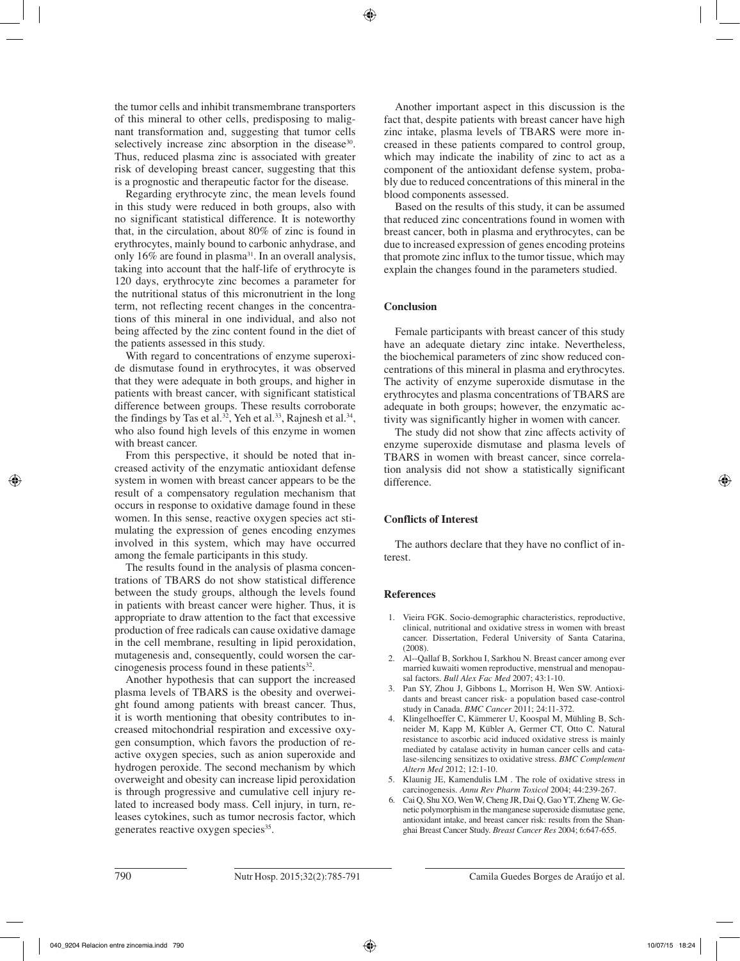the tumor cells and inhibit transmembrane transporters of this mineral to other cells, predisposing to malignant transformation and, suggesting that tumor cells selectively increase zinc absorption in the disease<sup>30</sup>. Thus, reduced plasma zinc is associated with greater risk of developing breast cancer, suggesting that this is a prognostic and therapeutic factor for the disease.

Regarding erythrocyte zinc, the mean levels found in this study were reduced in both groups, also with no significant statistical difference. It is noteworthy that, in the circulation, about 80% of zinc is found in erythrocytes, mainly bound to carbonic anhydrase, and only 16% are found in plasma31. In an overall analysis, taking into account that the half-life of erythrocyte is 120 days, erythrocyte zinc becomes a parameter for the nutritional status of this micronutrient in the long term, not reflecting recent changes in the concentrations of this mineral in one individual, and also not being affected by the zinc content found in the diet of the patients assessed in this study.

With regard to concentrations of enzyme superoxide dismutase found in erythrocytes, it was observed that they were adequate in both groups, and higher in patients with breast cancer, with significant statistical difference between groups. These results corroborate the findings by Tas et al.<sup>32</sup>, Yeh et al.<sup>33</sup>, Rajnesh et al.<sup>34</sup>, who also found high levels of this enzyme in women with breast cancer.

From this perspective, it should be noted that increased activity of the enzymatic antioxidant defense system in women with breast cancer appears to be the result of a compensatory regulation mechanism that occurs in response to oxidative damage found in these women. In this sense, reactive oxygen species act stimulating the expression of genes encoding enzymes involved in this system, which may have occurred among the female participants in this study.

The results found in the analysis of plasma concentrations of TBARS do not show statistical difference between the study groups, although the levels found in patients with breast cancer were higher. Thus, it is appropriate to draw attention to the fact that excessive production of free radicals can cause oxidative damage in the cell membrane, resulting in lipid peroxidation, mutagenesis and, consequently, could worsen the carcinogenesis process found in these patients $32$ .

Another hypothesis that can support the increased plasma levels of TBARS is the obesity and overweight found among patients with breast cancer. Thus, it is worth mentioning that obesity contributes to increased mitochondrial respiration and excessive oxygen consumption, which favors the production of reactive oxygen species, such as anion superoxide and hydrogen peroxide. The second mechanism by which overweight and obesity can increase lipid peroxidation is through progressive and cumulative cell injury related to increased body mass. Cell injury, in turn, releases cytokines, such as tumor necrosis factor, which generates reactive oxygen species<sup>35</sup>.

Another important aspect in this discussion is the fact that, despite patients with breast cancer have high zinc intake, plasma levels of TBARS were more increased in these patients compared to control group, which may indicate the inability of zinc to act as a component of the antioxidant defense system, probably due to reduced concentrations of this mineral in the blood components assessed.

Based on the results of this study, it can be assumed that reduced zinc concentrations found in women with breast cancer, both in plasma and erythrocytes, can be due to increased expression of genes encoding proteins that promote zinc influx to the tumor tissue, which may explain the changes found in the parameters studied.

# **Conclusion**

Female participants with breast cancer of this study have an adequate dietary zinc intake. Nevertheless, the biochemical parameters of zinc show reduced concentrations of this mineral in plasma and erythrocytes. The activity of enzyme superoxide dismutase in the erythrocytes and plasma concentrations of TBARS are adequate in both groups; however, the enzymatic activity was significantly higher in women with cancer.

The study did not show that zinc affects activity of enzyme superoxide dismutase and plasma levels of TBARS in women with breast cancer, since correlation analysis did not show a statistically significant difference.

## **Conflicts of Interest**

The authors declare that they have no conflict of interest.

## **References**

- 1. Vieira FGK. Socio-demographic characteristics, reproductive, clinical, nutritional and oxidative stress in women with breast cancer. Dissertation, Federal University of Santa Catarina,  $(2008)$
- 2. Al--Qallaf B, Sorkhou I, Sarkhou N. Breast cancer among ever married kuwaiti women reproductive, menstrual and menopausal factors. *Bull Alex Fac Med* 2007; 43:1-10.
- 3. Pan SY, Zhou J, Gibbons L, Morrison H, Wen SW. Antioxidants and breast cancer risk- a population based case-control study in Canada. *BMC Cancer* 2011; 24:11-372.
- 4. Klingelhoeffer C, Kämmerer U, Koospal M, Mühling B, Schneider M, Kapp M, Kübler A, Germer CT, Otto C. Natural resistance to ascorbic acid induced oxidative stress is mainly mediated by catalase activity in human cancer cells and catalase-silencing sensitizes to oxidative stress. *BMC Complement Altern Med* 2012; 12:1-10.
- 5. Klaunig JE, Kamendulis LM . The role of oxidative stress in carcinogenesis. *Annu Rev Pharm Toxicol* 2004; 44:239-267.
- 6. Cai Q, Shu XO, Wen W, Cheng JR, Dai Q, Gao YT, Zheng W. Genetic polymorphism in the manganese superoxide dismutase gene, antioxidant intake, and breast cancer risk: results from the Shanghai Breast Cancer Study. *Breast Cancer Res* 2004; 6:647-655.